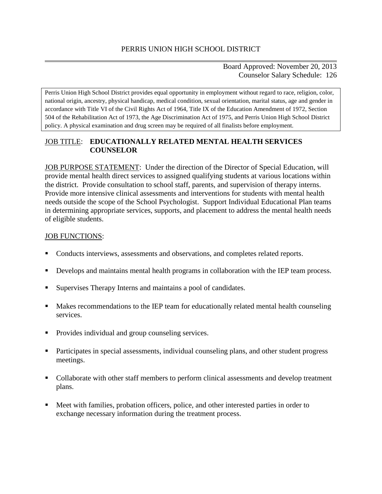Board Approved: November 20, 2013 Counselor Salary Schedule: 126

Perris Union High School District provides equal opportunity in employment without regard to race, religion, color, national origin, ancestry, physical handicap, medical condition, sexual orientation, marital status, age and gender in accordance with Title VI of the Civil Rights Act of 1964, Title IX of the Education Amendment of 1972, Section 504 of the Rehabilitation Act of 1973, the Age Discrimination Act of 1975, and Perris Union High School District policy. A physical examination and drug screen may be required of all finalists before employment.

## JOB TITLE: **EDUCATIONALLY RELATED MENTAL HEALTH SERVICES COUNSELOR**

JOB PURPOSE STATEMENT: Under the direction of the Director of Special Education, will provide mental health direct services to assigned qualifying students at various locations within the district. Provide consultation to school staff, parents, and supervision of therapy interns. Provide more intensive clinical assessments and interventions for students with mental health needs outside the scope of the School Psychologist. Support Individual Educational Plan teams in determining appropriate services, supports, and placement to address the mental health needs of eligible students.

#### JOB FUNCTIONS:

- Conducts interviews, assessments and observations, and completes related reports.
- Develops and maintains mental health programs in collaboration with the IEP team process.
- Supervises Therapy Interns and maintains a pool of candidates.
- Makes recommendations to the IEP team for educationally related mental health counseling services.
- Provides individual and group counseling services.
- Participates in special assessments, individual counseling plans, and other student progress meetings.
- Collaborate with other staff members to perform clinical assessments and develop treatment plans.
- Meet with families, probation officers, police, and other interested parties in order to exchange necessary information during the treatment process.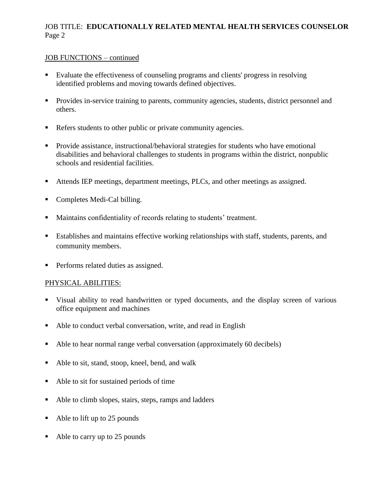# JOB TITLE: **EDUCATIONALLY RELATED MENTAL HEALTH SERVICES COUNSELOR** Page 2

#### JOB FUNCTIONS – continued

- Evaluate the effectiveness of counseling programs and clients' progress in resolving identified problems and moving towards defined objectives.
- Provides in-service training to parents, community agencies, students, district personnel and others.
- Refers students to other public or private community agencies.
- **Provide assistance, instructional/behavioral strategies for students who have emotional** disabilities and behavioral challenges to students in programs within the district, nonpublic schools and residential facilities.
- Attends IEP meetings, department meetings, PLCs, and other meetings as assigned.
- Completes Medi-Cal billing.
- Maintains confidentiality of records relating to students' treatment.
- Establishes and maintains effective working relationships with staff, students, parents, and community members.
- Performs related duties as assigned.

#### PHYSICAL ABILITIES:

- Visual ability to read handwritten or typed documents, and the display screen of various office equipment and machines
- Able to conduct verbal conversation, write, and read in English
- Able to hear normal range verbal conversation (approximately 60 decibels)
- Able to sit, stand, stoop, kneel, bend, and walk
- Able to sit for sustained periods of time
- Able to climb slopes, stairs, steps, ramps and ladders
- Able to lift up to 25 pounds
- Able to carry up to 25 pounds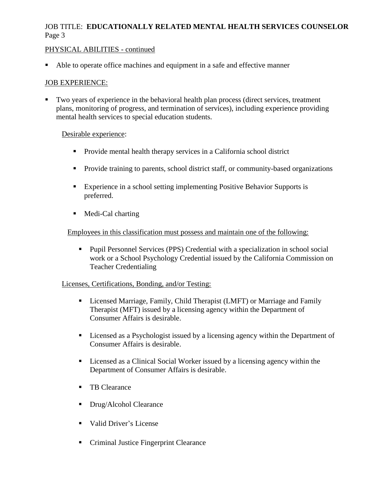# JOB TITLE: **EDUCATIONALLY RELATED MENTAL HEALTH SERVICES COUNSELOR** Page 3

### PHYSICAL ABILITIES - continued

Able to operate office machines and equipment in a safe and effective manner

### JOB EXPERIENCE:

 Two years of experience in the behavioral health plan process (direct services, treatment plans, monitoring of progress, and termination of services), including experience providing mental health services to special education students.

### Desirable experience:

- Provide mental health therapy services in a California school district
- **Provide training to parents, school district staff, or community-based organizations**
- Experience in a school setting implementing Positive Behavior Supports is preferred.
- Medi-Cal charting

### Employees in this classification must possess and maintain one of the following:

 Pupil Personnel Services (PPS) Credential with a specialization in school social work or a School Psychology Credential issued by the California Commission on Teacher Credentialing

### Licenses, Certifications, Bonding, and/or Testing:

- Licensed Marriage, Family, Child Therapist (LMFT) or Marriage and Family Therapist (MFT) issued by a licensing agency within the Department of Consumer Affairs is desirable.
- Licensed as a Psychologist issued by a licensing agency within the Department of Consumer Affairs is desirable.
- Licensed as a Clinical Social Worker issued by a licensing agency within the Department of Consumer Affairs is desirable.
- **TB** Clearance
- **Drug/Alcohol Clearance**
- Valid Driver's License
- Criminal Justice Fingerprint Clearance